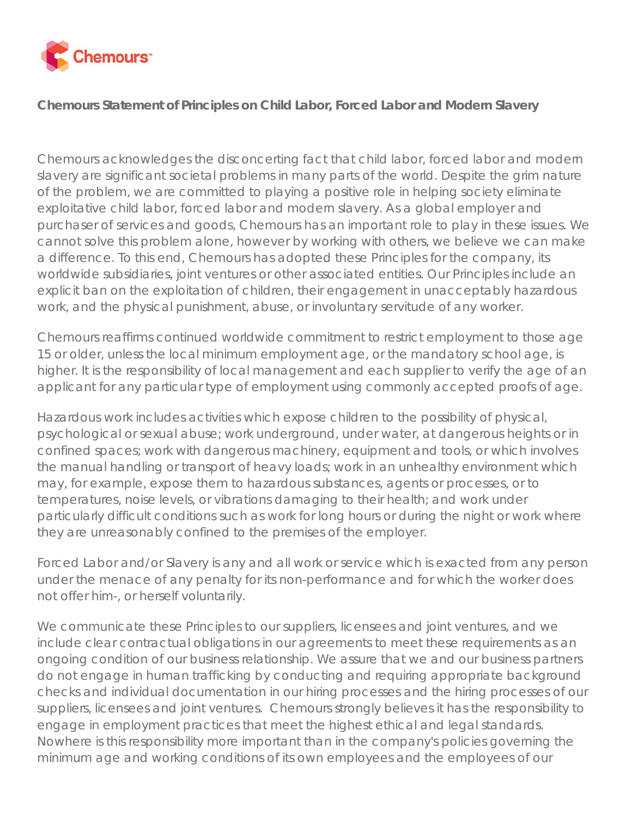

## **Chemours Statement of Principles on Child Labor, Forced Labor and Modern Slavery**

Chemours acknowledges the disconcerting fact that child labor, forced labor and modern slavery are significant societal problems in many parts of the world. Despite the grim nature of the problem, we are committed to playing a positive role in helping society eliminate exploitative child labor, forced labor and modern slavery. As a global employer and purchaser of services and goods, Chemours has an important role to play in these issues. We cannot solve this problem alone, however by working with others, we believe we can make a difference. To this end, Chemours has adopted these Principles for the company, its worldwide subsidiaries, joint ventures or other associated entities. Our Principles include an explicit ban on the exploitation of children, their engagement in unacceptably hazardous work, and the physical punishment, abuse, or involuntary servitude of any worker.

Chemours reaffirms continued worldwide commitment to restrict employment to those age 15 or older, unless the local minimum employment age, or the mandatory school age, is higher. It is the responsibility of local management and each supplier to verify the age of an applicant for any particular type of employment using commonly accepted proofs of age.

Hazardous work includes activities which expose children to the possibility of physical, psychological or sexual abuse; work underground, under water, at dangerous heights or in confined spaces; work with dangerous machinery, equipment and tools, or which involves the manual handling or transport of heavy loads; work in an unhealthy environment which may, for example, expose them to hazardous substances, agents or processes, or to temperatures, noise levels, or vibrations damaging to their health; and work under particularly difficult conditions such as work for long hours or during the night or work where they are unreasonably confined to the premises of the employer.

Forced Labor and/or Slavery is any and all work or service which is exacted from any person under the menace of any penalty for its non-performance and for which the worker does not offer him-, or herself voluntarily.

We communicate these Principles to our suppliers, licensees and joint ventures, and we include clear contractual obligations in our agreements to meet these requirements as an ongoing condition of our business relationship. We assure that we and our business partners do not engage in human trafficking by conducting and requiring appropriate background checks and individual documentation in our hiring processes and the hiring processes of our suppliers, licensees and joint ventures. Chemours strongly believes it has the responsibility to engage in employment practices that meet the highest ethical and legal standards. Nowhere is this responsibility more important than in the company's policies governing the minimum age and working conditions of its own employees and the employees of our